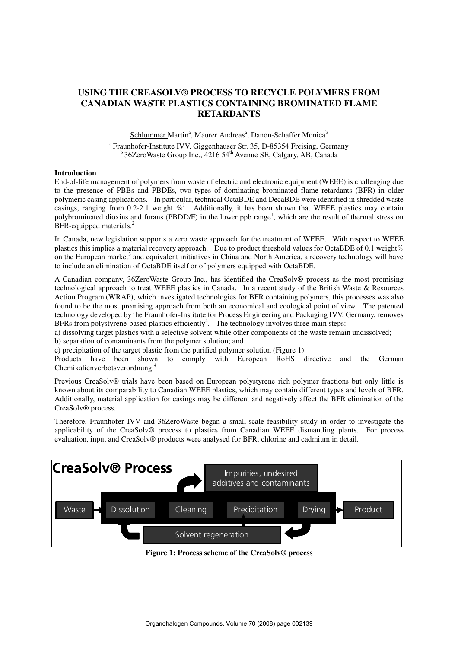# **USING THE CREASOLV® PROCESS TO RECYCLE POLYMERS FROM CANADIAN WASTE PLASTICS CONTAINING BROMINATED FLAME RETARDANTS**

Schlummer Martin<sup>a</sup>, Mäurer Andreas<sup>a</sup>, Danon-Schaffer Monica<sup>b</sup>

<sup>a</sup> Fraunhofer-Institute IVV, Giggenhauser Str. 35, D-85354 Freising, Germany  $b$  36ZeroWaste Group Inc., 4216 54<sup>th</sup> Avenue SE, Calgary, AB, Canada

## **Introduction**

End-of-life management of polymers from waste of electric and electronic equipment (WEEE) is challenging due to the presence of PBBs and PBDEs, two types of dominating brominated flame retardants (BFR) in older polymeric casing applications. In particular, technical OctaBDE and DecaBDE were identified in shredded waste casings, ranging from 0.2-2.1 weight  $\%$ <sup>1</sup>. Additionally, it has been shown that WEEE plastics may contain polybrominated dioxins and furans (PBDD/F) in the lower ppb range<sup>1</sup>, which are the result of thermal stress on BFR-equipped materials.<sup>2</sup>

In Canada, new legislation supports a zero waste approach for the treatment of WEEE. With respect to WEEE plastics this implies a material recovery approach. Due to product threshold values for OctaBDE of 0.1 weight% on the European market<sup>3</sup> and equivalent initiatives in China and North America, a recovery technology will have to include an elimination of OctaBDE itself or of polymers equipped with OctaBDE.

A Canadian company, 36ZeroWaste Group Inc., has identified the CreaSolv® process as the most promising technological approach to treat WEEE plastics in Canada. In a recent study of the British Waste & Resources Action Program (WRAP), which investigated technologies for BFR containing polymers, this processes was also found to be the most promising approach from both an economical and ecological point of view. The patented technology developed by the Fraunhofer-Institute for Process Engineering and Packaging IVV, Germany, removes BFRs from polystyrene-based plastics efficiently<sup>4</sup>. The technology involves three main steps:

a) dissolving target plastics with a selective solvent while other components of the waste remain undissolved;

b) separation of contaminants from the polymer solution; and

c) precipitation of the target plastic from the purified polymer solution (Figure 1).

Products have been shown to comply with European RoHS directive and the German Chemikalienverbotsverordnung.<sup>4</sup>

Previous CreaSolv® trials have been based on European polystyrene rich polymer fractions but only little is known about its comparability to Canadian WEEE plastics, which may contain different types and levels of BFR. Additionally, material application for casings may be different and negatively affect the BFR elimination of the CreaSolv® process.

Therefore, Fraunhofer IVV and 36ZeroWaste began a small-scale feasibility study in order to investigate the applicability of the CreaSolv® process to plastics from Canadian WEEE dismantling plants. For process evaluation, input and CreaSolv® products were analysed for BFR, chlorine and cadmium in detail.



**Figure 1: Process scheme of the CreaSolv® process**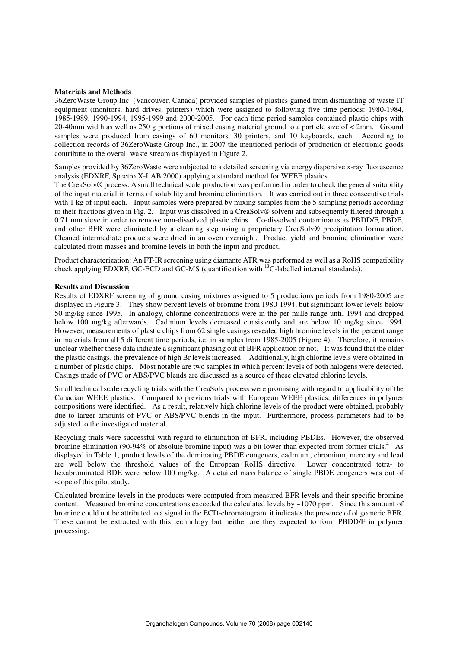#### **Materials and Methods**

36ZeroWaste Group Inc. (Vancouver, Canada) provided samples of plastics gained from dismantling of waste IT equipment (monitors, hard drives, printers) which were assigned to following five time periods: 1980-1984, 1985-1989, 1990-1994, 1995-1999 and 2000-2005. For each time period samples contained plastic chips with 20-40mm width as well as 250 g portions of mixed casing material ground to a particle size of < 2mm. Ground samples were produced from casings of 60 monitors, 30 printers, and 10 keyboards, each. According to collection records of 36ZeroWaste Group Inc., in 2007 the mentioned periods of production of electronic goods contribute to the overall waste stream as displayed in Figure 2.

Samples provided by 36ZeroWaste were subjected to a detailed screening via energy dispersive x-ray fluorescence analysis (EDXRF, Spectro X-LAB 2000) applying a standard method for WEEE plastics.

The CreaSolv® process: A small technical scale production was performed in order to check the general suitability of the input material in terms of solubility and bromine elimination. It was carried out in three consecutive trials with 1 kg of input each. Input samples were prepared by mixing samples from the 5 sampling periods according to their fractions given in Fig. 2. Input was dissolved in a CreaSolv® solvent and subsequently filtered through a 0.71 mm sieve in order to remove non-dissolved plastic chips. Co-dissolved contaminants as PBDD/F, PBDE, and other BFR were eliminated by a cleaning step using a proprietary CreaSolv® precipitation formulation. Cleaned intermediate products were dried in an oven overnight. Product yield and bromine elimination were calculated from masses and bromine levels in both the input and product.

Product characterization: An FT-IR screening using diamante ATR was performed as well as a RoHS compatibility check applying EDXRF, GC-ECD and GC-MS (quantification with  $^{13}$ C-labelled internal standards).

#### **Results and Discussion**

Results of EDXRF screening of ground casing mixtures assigned to 5 productions periods from 1980-2005 are displayed in Figure 3. They show percent levels of bromine from 1980-1994, but significant lower levels below 50 mg/kg since 1995. In analogy, chlorine concentrations were in the per mille range until 1994 and dropped below 100 mg/kg afterwards. Cadmium levels decreased consistently and are below 10 mg/kg since 1994. However, measurements of plastic chips from 62 single casings revealed high bromine levels in the percent range in materials from all 5 different time periods, i.e. in samples from 1985-2005 (Figure 4). Therefore, it remains unclear whether these data indicate a significant phasing out of BFR application or not. It was found that the older the plastic casings, the prevalence of high Br levels increased. Additionally, high chlorine levels were obtained in a number of plastic chips. Most notable are two samples in which percent levels of both halogens were detected. Casings made of PVC or ABS/PVC blends are discussed as a source of these elevated chlorine levels.

Small technical scale recycling trials with the CreaSolv process were promising with regard to applicability of the Canadian WEEE plastics. Compared to previous trials with European WEEE plastics, differences in polymer compositions were identified. As a result, relatively high chlorine levels of the product were obtained, probably due to larger amounts of PVC or ABS/PVC blends in the input. Furthermore, process parameters had to be adjusted to the investigated material.

Recycling trials were successful with regard to elimination of BFR, including PBDEs. However, the observed bromine elimination (90-94% of absolute bromine input) was a bit lower than expected from former trials.<sup>4</sup> As displayed in Table 1, product levels of the dominating PBDE congeners, cadmium, chromium, mercury and lead are well below the threshold values of the European RoHS directive. Lower concentrated tetra- to hexabrominated BDE were below 100 mg/kg. A detailed mass balance of single PBDE congeners was out of scope of this pilot study.

Calculated bromine levels in the products were computed from measured BFR levels and their specific bromine content. Measured bromine concentrations exceeded the calculated levels by ~1070 ppm. Since this amount of bromine could not be attributed to a signal in the ECD-chromatogram, it indicates the presence of oligomeric BFR. These cannot be extracted with this technology but neither are they expected to form PBDD/F in polymer processing.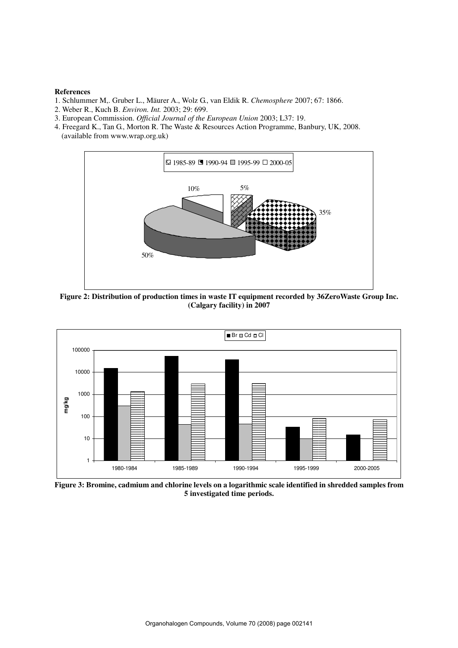### **References**

- 1. Schlummer M,. Gruber L., Mäurer A., Wolz G., van Eldik R. *Chemosphere* 2007; 67: 1866.
- 2. Weber R., Kuch B. *Environ. Int.* 2003; 29: 699.
- 3. European Commission. *Official Journal of the European Union* 2003; L37: 19.
- 4. Freegard K., Tan G., Morton R. The Waste & Resources Action Programme, Banbury, UK, 2008. (available from www.wrap.org.uk)



**Figure 2: Distribution of production times in waste IT equipment recorded by 36ZeroWaste Group Inc. (Calgary facility) in 2007** 



**Figure 3: Bromine, cadmium and chlorine levels on a logarithmic scale identified in shredded samples from 5 investigated time periods.**